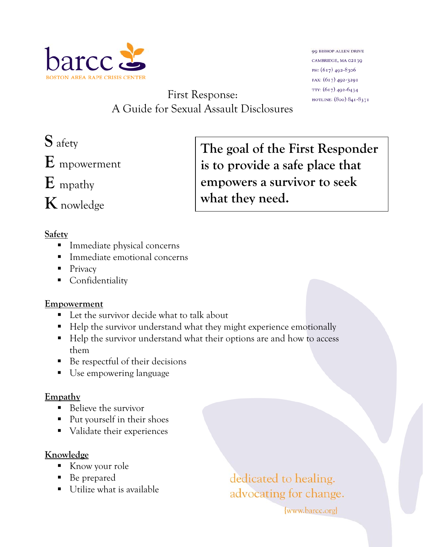

**99 BISHOP ALLEN DRIVE** CAMBRIDGE, MA 02139 PH: (617) 492-8306 FAX: (617) 492-3291 TTY: (617) 492-6434 HOTLINE: (800) 841-8371

First Response: A Guide for Sexual Assault Disclosures

**E** mpowerment

**E** mpathy

**K** nowledge

# **Safety**

- **Immediate physical concerns**
- Immediate emotional concerns
- Privacy
- **Confidentiality**

### **Empowerment**

- Let the survivor decide what to talk about
- Help the survivor understand what they might experience emotionally
- Help the survivor understand what their options are and how to access them
- Be respectful of their decisions
- Use empowering language

# **Empathy**

- Believe the survivor
- Put yourself in their shoes
- Validate their experiences

### **Knowledge**

- Know your role
- Be prepared
- Utilize what is available

# dedicated to healing. advocating for change.

www.barcc.org

**S** afety **The goal of the First Responder is to provide a safe place that empowers a survivor to seek what they need.**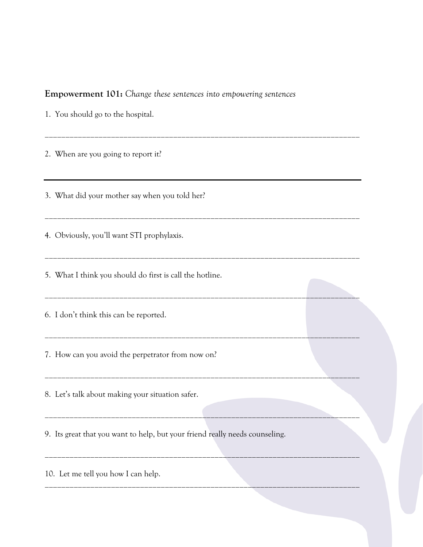#### **Empowerment 101:** *Change these sentences into empowering sentences*

\_\_\_\_\_\_\_\_\_\_\_\_\_\_\_\_\_\_\_\_\_\_\_\_\_\_\_\_\_\_\_\_\_\_\_\_\_\_\_\_\_\_\_\_\_\_\_\_\_\_\_\_\_\_\_\_\_\_\_\_\_\_\_\_\_\_\_\_\_\_\_\_\_\_\_\_

\_\_\_\_\_\_\_\_\_\_\_\_\_\_\_\_\_\_\_\_\_\_\_\_\_\_\_\_\_\_\_\_\_\_\_\_\_\_\_\_\_\_\_\_\_\_\_\_\_\_\_\_\_\_\_\_\_\_\_\_\_\_\_\_\_\_\_\_\_\_\_\_\_\_\_\_

\_\_\_\_\_\_\_\_\_\_\_\_\_\_\_\_\_\_\_\_\_\_\_\_\_\_\_\_\_\_\_\_\_\_\_\_\_\_\_\_\_\_\_\_\_\_\_\_\_\_\_\_\_\_\_\_\_\_\_\_\_\_\_\_\_\_\_\_\_\_\_\_\_\_\_\_

\_\_\_\_\_\_\_\_\_\_\_\_\_\_\_\_\_\_\_\_\_\_\_\_\_\_\_\_\_\_\_\_\_\_\_\_\_\_\_\_\_\_\_\_\_\_\_\_\_\_\_\_\_\_\_\_\_\_\_\_\_\_\_\_\_\_\_\_\_\_\_\_\_\_\_\_

\_\_\_\_\_\_\_\_\_\_\_\_\_\_\_\_\_\_\_\_\_\_\_\_\_\_\_\_\_\_\_\_\_\_\_\_\_\_\_\_\_\_\_\_\_\_\_\_\_\_\_\_\_\_\_\_\_\_\_\_\_\_\_\_\_\_\_\_\_\_\_\_\_\_\_\_

\_\_\_\_\_\_\_\_\_\_\_\_\_\_\_\_\_\_\_\_\_\_\_\_\_\_\_\_\_\_\_\_\_\_\_\_\_\_\_\_\_\_\_\_\_\_\_\_\_\_\_\_\_\_\_\_\_\_\_\_\_\_\_\_\_\_\_\_\_\_\_\_\_\_\_\_

\_\_\_\_\_\_\_\_\_\_\_\_\_\_\_\_\_\_\_\_\_\_\_\_\_\_\_\_\_\_\_\_\_\_\_\_\_\_\_\_\_\_\_\_\_\_\_\_\_\_\_\_\_\_\_\_\_\_\_\_\_\_\_\_\_\_\_\_\_\_\_\_\_\_\_\_

\_\_\_\_\_\_\_\_\_\_\_\_\_\_\_\_\_\_\_\_\_\_\_\_\_\_\_\_\_\_\_\_\_\_\_\_\_\_\_\_\_\_\_\_\_\_\_\_\_\_\_\_\_\_\_\_\_\_\_\_\_\_\_\_\_\_\_\_\_\_\_\_\_\_\_\_

\_\_\_\_\_\_\_\_\_\_\_\_\_\_\_\_\_\_\_\_\_\_\_\_\_\_\_\_\_\_\_\_\_\_\_\_\_\_\_\_\_\_\_\_\_\_\_\_\_\_\_\_\_\_\_\_\_\_\_\_\_\_\_\_\_\_\_\_\_\_\_\_\_\_\_\_

1. You should go to the hospital.

2. When are you going to report it?

3. What did your mother say when you told her?

4. Obviously, you'll want STI prophylaxis.

5. What I think you should do first is call the hotline.

6. I don't think this can be reported.

7. How can you avoid the perpetrator from now on?

8. Let's talk about making your situation safer.

9. Its great that you want to help, but your friend really needs counseling.

10. Let me tell you how I can help.